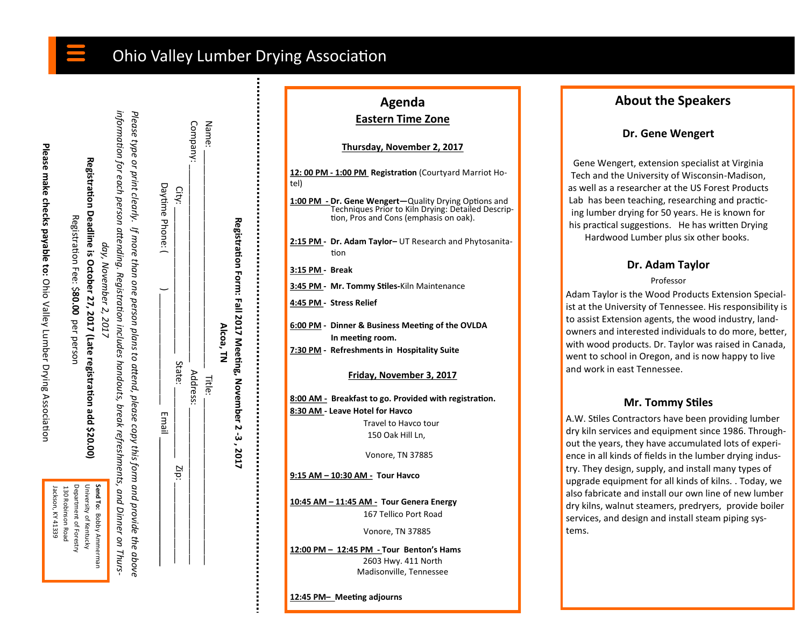# Ohio Valley Lumber Drying Association

Please make checks payable to: Ohio Valley Lumber Drying Association **Please make checks payable to:** Ohio Valley Lumber Drying Association

| Jackson, KY 41339 | Department of Forestry<br>130 Robinson Road | University of Kentucky | Send To: Bobby Ammerman |
|-------------------|---------------------------------------------|------------------------|-------------------------|
|-------------------|---------------------------------------------|------------------------|-------------------------|

| day, November 2, 2017                         | information person ditending. Subsection includes handouts, break refreshments, and Dinner on Thurs, and Dinner | Please type or print clearly. If more than one person plans to attend, please copy this form and provide the above |  |
|-----------------------------------------------|-----------------------------------------------------------------------------------------------------------------|--------------------------------------------------------------------------------------------------------------------|--|
| <b>Condition School Control of the School</b> |                                                                                                                 |                                                                                                                    |  |

**Registration Deadline is October 27, 2017 (Late registration add \$20.00)**

Registration Deadline is October 27, 2017 (Late registration add \$20.00)

Registration Fee: \$

Registration Fee: \$80.00 per person

per person

| Daytime Phone: | City:             | Company  | Name:  |           |
|----------------|-------------------|----------|--------|-----------|
| Email          | State:            | Address: | Title: | Alcoa, TN |
|                | $\overline{z}$ p: |          |        |           |

**Registration Form: Fall 2017 Meeting, November 2** 

**-3 , 2017** 

## **Agenda Eastern Time Zone**

#### **Thursday, November 2, 2017**

| tel)            | 12:00 PM - 1:00 PM Registration (Courtyard Marriot Ho-                                                                                                |
|-----------------|-------------------------------------------------------------------------------------------------------------------------------------------------------|
|                 | 1:00 PM - Dr. Gene Wengert-Quality Drying Options and<br>Techniques Prior to Kiln Drying: Detailed Descrip-<br>tion, Pros and Cons (emphasis on oak). |
|                 | 2:15 PM - Dr. Adam Taylor- UT Research and Phytosanita-<br>tion                                                                                       |
| 3:15 PM - Break |                                                                                                                                                       |
|                 | 3:45 PM - Mr. Tommy Stiles-Kiln Maintenance                                                                                                           |
|                 | 4:45 PM - Stress Relief                                                                                                                               |
|                 | 6:00 PM - Dinner & Business Meeting of the OVLDA<br>In meeting room.<br>7:30 PM - Refreshments in Hospitality Suite                                   |
|                 |                                                                                                                                                       |
|                 | Friday, November 3, 2017                                                                                                                              |
|                 | 8:00 AM - Breakfast to go. Provided with registration.                                                                                                |
|                 | 8:30 AM - Leave Hotel for Havco                                                                                                                       |
|                 | Travel to Havco tour                                                                                                                                  |
|                 | 150 Oak Hill Ln,                                                                                                                                      |
|                 | Vonore, TN 37885                                                                                                                                      |
|                 | 9:15 AM - 10:30 AM - Tour Havco                                                                                                                       |
|                 | 10:45 AM - 11:45 AM - Tour Genera Energy<br>167 Tellico Port Road                                                                                     |
|                 |                                                                                                                                                       |
|                 | Vonore, TN 37885                                                                                                                                      |
|                 | 12:00 PM - 12:45 PM - Tour Benton's Hams                                                                                                              |
|                 | 2603 Hwy. 411 North                                                                                                                                   |

Madisonville, Tennessee

**12:45 PM– Meeting adjourns**

## **About the Speakers**

## **Dr. Gene Wengert**

Gene Wengert, extension specialist at Virginia Tech and the University of Wisconsin-Madison, as well as a researcher at the US Forest Products Lab has been teaching, researching and practicing lumber drying for 50 years. He is known for his practical suggestions. He has written Drying Hardwood Lumber plus six other books.

## **Dr. Adam Taylor**

### Professor

Adam Taylor is the Wood Products Extension Specialist at the University of Tennessee. His responsibility is to assist Extension agents, the wood industry, landowners and interested individuals to do more, better, with wood products. Dr. Taylor was raised in Canada, went to school in Oregon, and is now happy to live and work in east Tennessee.

## **Mr. Tommy Stiles**

A.W. Stiles Contractors have been providing lumber dry kiln services and equipment since 1986. Throughout the years, they have accumulated lots of experience in all kinds of fields in the lumber drying industry. They design, supply, and install many types of upgrade equipment for all kinds of kilns. . Today, we also fabricate and install our own line of new lumber dry kilns, walnut steamers, predryers, provide boiler services, and design and install steam piping systems.